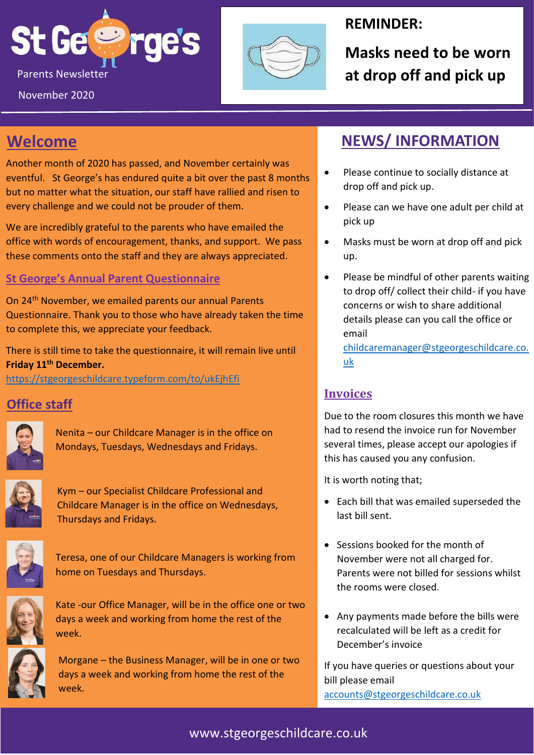



## **REMINDER:**

**Masks need to be worn** 

## **Welcome**

Another month of 2020 has passed, and November certainly was eventful. St George's has endured quite a bit over the past 8 months but no matter what the situation, our staff have rallied and risen to every challenge and we could not be prouder of them.

We are incredibly grateful to the parents who have emailed the office with words of encouragement, thanks, and support. We pass these comments onto the staff and they are always appreciated.

### **St George's Annual Parent Questionnaire**

On 24th November, we emailed parents our annual Parents Questionnaire. Thank you to those who have already taken the time to complete this, we appreciate your feedback.

There is still time to take the questionnaire, it will remain live until **Friday 11th December.**

<https://stgeorgeschildcare.typeform.com/to/ukEjhEfi>

## **Office staff**



Nenita – our Childcare Manager is in the office on Mondays, Tuesdays, Wednesdays and Fridays.



Kym – our Specialist Childcare Professional and Childcare Manager is in the office on Wednesdays, Thursdays and Fridays.



Teresa, one of our Childcare Managers is working from home on Tuesdays and Thursdays.



Kate -our Office Manager, will be in the office one or two days a week and working from home the rest of the week.



Morgane – the Business Manager, will be in one or two days a week and working from home the rest of the week.

## **NEWS/ INFORMATION**

- Please continue to socially distance at drop off and pick up.
- Please can we have one adult per child at pick up
- Masks must be worn at drop off and pick up.
- Please be mindful of other parents waiting to drop off/ collect their child- if you have concerns or wish to share additional details please can you call the office or email

[childcaremanager@stgeorgeschildcare.co.](mailto:childcaremanager@stgeorgeschildcare.co.uk) [uk](mailto:childcaremanager@stgeorgeschildcare.co.uk)

### **Invoices**

Due to the room closures this month we have had to resend the invoice run for November several times, please accept our apologies if this has caused you any confusion.

It is worth noting that;

- Each bill that was emailed superseded the last bill sent.
- Sessions booked for the month of November were not all charged for. Parents were not billed for sessions whilst the rooms were closed.
- Any payments made before the bills were recalculated will be left as a credit for December's invoice

If you have queries or questions about your bill please email [accounts@stgeorgeschildcare.co.uk](mailto:accounts@stgeorgeschildcare.co.uk)

www.stgeorgeschildcare.co.uk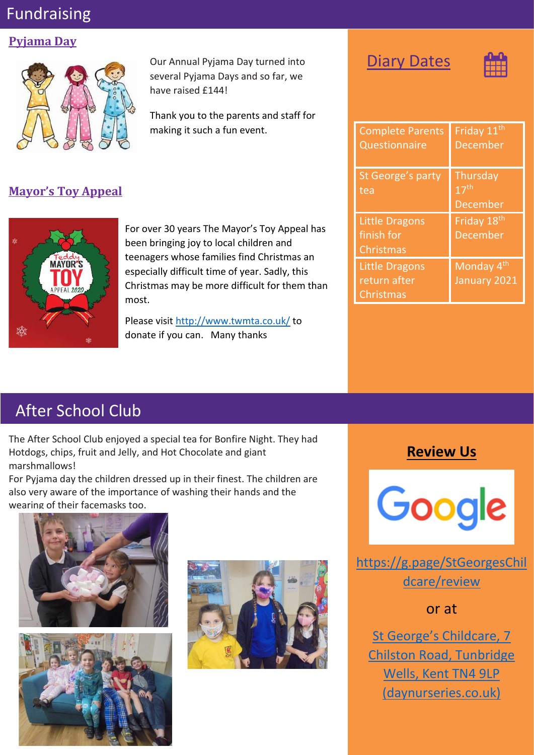# Fundraising

#### **Pyjama Day**



**Mayor's Toy Appeal**



For over 30 years The Mayor's Toy Appeal has been bringing joy to local children and teenagers whose families find Christmas an especially difficult time of year. Sadly, this Christmas may be more difficult for them than most.

Our Annual Pyjama Day turned into several Pyjama Days and so far, we

Thank you to the parents and staff for

making it such a fun event.

have raised £144!

Please visit<http://www.twmta.co.uk/> to donate if you can. Many thanks

| <b>Contract Contract Contract Contract Contract Contract Contract Contract Contract Contract Contract Contract Co</b> | - 1<br>ы |
|-----------------------------------------------------------------------------------------------------------------------|----------|
|-----------------------------------------------------------------------------------------------------------------------|----------|



| <b>Complete Parents</b><br>Questionnaire           | Friday 11 <sup>th</sup><br><b>December</b>      |
|----------------------------------------------------|-------------------------------------------------|
| St George's party<br>tea                           | Thursday<br>$17^{\text{th}}$<br><b>December</b> |
| <b>Little Dragons</b><br>finish for<br>Christmas   | Friday 18 <sup>th</sup><br><b>December</b>      |
| <b>Little Dragons</b><br>return after<br>Christmas | Monday 4 <sup>th</sup><br>January 2021          |

# After School Club

The After School Club enjoyed a special tea for Bonfire Night. They had Hotdogs, chips, fruit and Jelly, and Hot Chocolate and giant marshmallows!

For Pyjama day the children dressed up in their finest. The children are also very aware of the importance of washing their hands and the wearing of their facemasks too.







## **Review Us**



[https://g.page/StGeorgesChil](https://g.page/StGeorgesChildcare/review) [dcare/review](https://g.page/StGeorgesChildcare/review)

or at

[St George's Childcare, 7](https://www.daynurseries.co.uk/daynursery.cfm/searchazref/50001050GEOA#submit-review-tab)  [Chilston Road, Tunbridge](https://www.daynurseries.co.uk/daynursery.cfm/searchazref/50001050GEOA#submit-review-tab)  [Wells, Kent TN4 9LP](https://www.daynurseries.co.uk/daynursery.cfm/searchazref/50001050GEOA#submit-review-tab)  [\(daynurseries.co.uk\)](https://www.daynurseries.co.uk/daynursery.cfm/searchazref/50001050GEOA#submit-review-tab)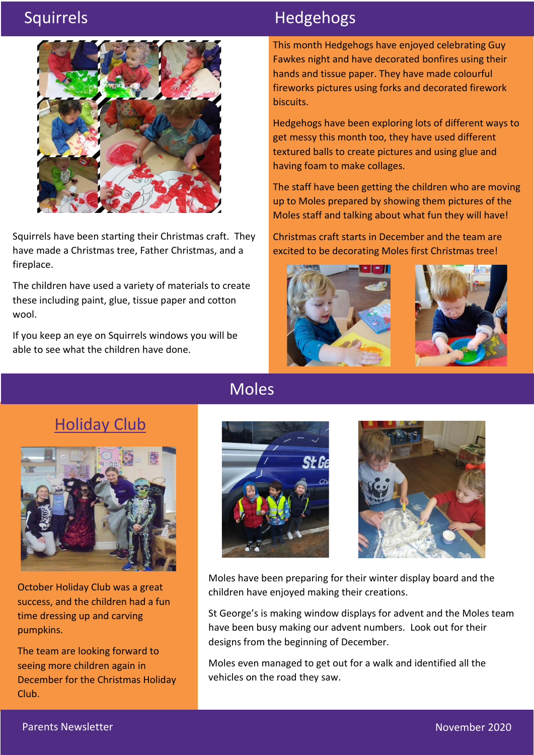

Squirrels have been starting their Christmas craft. They have made a Christmas tree, Father Christmas, and a fireplace.

The children have used a variety of materials to create these including paint, glue, tissue paper and cotton wool.

If you keep an eye on Squirrels windows you will be able to see what the children have done.

# Squirrels **Hedgehogs**

This month Hedgehogs have enjoyed celebrating Guy Fawkes night and have decorated bonfires using their hands and tissue paper. They have made colourful fireworks pictures using forks and decorated firework biscuits.

Hedgehogs have been exploring lots of different ways to get messy this month too, they have used different textured balls to create pictures and using glue and having foam to make collages.

The staff have been getting the children who are moving up to Moles prepared by showing them pictures of the Moles staff and talking about what fun they will have!

Christmas craft starts in December and the team are excited to be decorating Moles first Christmas tree!





# Holiday Club



October Holiday Club was a great success, and the children had a fun time dressing up and carving pumpkins.

The team are looking forward to seeing more children again in December for the Christmas Holiday Club.

# Moles





Moles have been preparing for their winter display board and the children have enjoyed making their creations.

St George's is making window displays for advent and the Moles team have been busy making our advent numbers. Look out for their designs from the beginning of December.

Moles even managed to get out for a walk and identified all the vehicles on the road they saw.